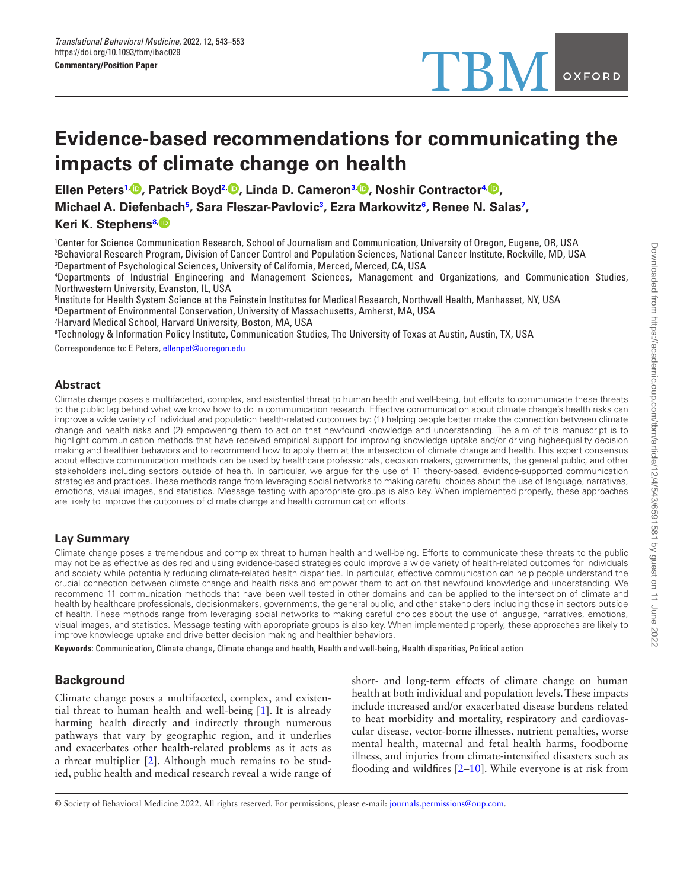# **Evidence-based recommendations for communicating the impacts of climate change on health**

**Ellen Peter[s1,](#page-0-0) , Patrick Boyd[2](#page-0-1), , Linda D. Camero[n3,](#page-0-2) , Noshir Contractor[4](#page-0-3), , Michael A. Diefenbac[h5](#page-0-4) , Sara Fleszar-Pavlovi[c3](#page-0-2) , Ezra Markowit[z6](#page-0-5) , Renee N. Salas[7](#page-0-6) , Keri K. Stephen[s8,](#page-0-7)**

<span id="page-0-1"></span><span id="page-0-0"></span>1 Center for Science Communication Research, School of Journalism and Communication, University of Oregon, Eugene, OR, USA 2 Behavioral Research Program, Division of Cancer Control and Population Sciences, National Cancer Institute, Rockville, MD, USA 3 Department of Psychological Sciences, University of California, Merced, Merced, CA, USA

<span id="page-0-3"></span><span id="page-0-2"></span>4 Departments of Industrial Engineering and Management Sciences, Management and Organizations, and Communication Studies, Northwestern University, Evanston, IL, USA

<span id="page-0-5"></span><span id="page-0-4"></span>5 Institute for Health System Science at the Feinstein Institutes for Medical Research, Northwell Health, Manhasset, NY, USA 6 Department of Environmental Conservation, University of Massachusetts, Amherst, MA, USA

<span id="page-0-6"></span>7 Harvard Medical School, Harvard University, Boston, MA, USA

<span id="page-0-7"></span>8 Technology & Information Policy Institute, Communication Studies, The University of Texas at Austin, Austin, TX, USA

Correspondence to: E Peters, [ellenpet@uoregon.edu](mailto:ellenpet@uoregon.edu?subject=)

#### **Abstract**

Climate change poses a multifaceted, complex, and existential threat to human health and well-being, but efforts to communicate these threats to the public lag behind what we know how to do in communication research. Effective communication about climate change's health risks can improve a wide variety of individual and population health-related outcomes by: (1) helping people better make the connection between climate change and health risks and (2) empowering them to act on that newfound knowledge and understanding. The aim of this manuscript is to highlight communication methods that have received empirical support for improving knowledge uptake and/or driving higher-quality decision making and healthier behaviors and to recommend how to apply them at the intersection of climate change and health. This expert consensus about effective communication methods can be used by healthcare professionals, decision makers, governments, the general public, and other stakeholders including sectors outside of health. In particular, we argue for the use of 11 theory-based, evidence-supported communication strategies and practices. These methods range from leveraging social networks to making careful choices about the use of language, narratives, emotions, visual images, and statistics. Message testing with appropriate groups is also key. When implemented properly, these approaches are likely to improve the outcomes of climate change and health communication efforts.

# **Lay Summary**

Climate change poses a tremendous and complex threat to human health and well-being. Efforts to communicate these threats to the public may not be as effective as desired and using evidence-based strategies could improve a wide variety of health-related outcomes for individuals and society while potentially reducing climate-related health disparities. In particular, effective communication can help people understand the crucial connection between climate change and health risks and empower them to act on that newfound knowledge and understanding. We recommend 11 communication methods that have been well tested in other domains and can be applied to the intersection of climate and health by healthcare professionals, decisionmakers, governments, the general public, and other stakeholders including those in sectors outside of health. These methods range from leveraging social networks to making careful choices about the use of language, narratives, emotions, visual images, and statistics. Message testing with appropriate groups is also key. When implemented properly, these approaches are likely to improve knowledge uptake and drive better decision making and healthier behaviors.

**Keywords**: Communication, Climate change, Climate change and health, Health and well-being, Health disparities, Political action

# **Background**

Climate change poses a multifaceted, complex, and existential threat to human health and well-being [[1](#page-7-0)]. It is already harming health directly and indirectly through numerous pathways that vary by geographic region, and it underlies and exacerbates other health-related problems as it acts as a threat multiplier [\[2](#page-7-1)]. Although much remains to be studied, public health and medical research reveal a wide range of short- and long-term effects of climate change on human health at both individual and population levels. These impacts include increased and/or exacerbated disease burdens related to heat morbidity and mortality, respiratory and cardiovascular disease, vector-borne illnesses, nutrient penalties, worse mental health, maternal and fetal health harms, foodborne illness, and injuries from climate-intensified disasters such as flooding and wildfires [2–10]. While everyone is at risk from

<sup>©</sup> Society of Behavioral Medicine 2022. All rights reserved. For permissions, please e-mail: journals.permissions@oup.com.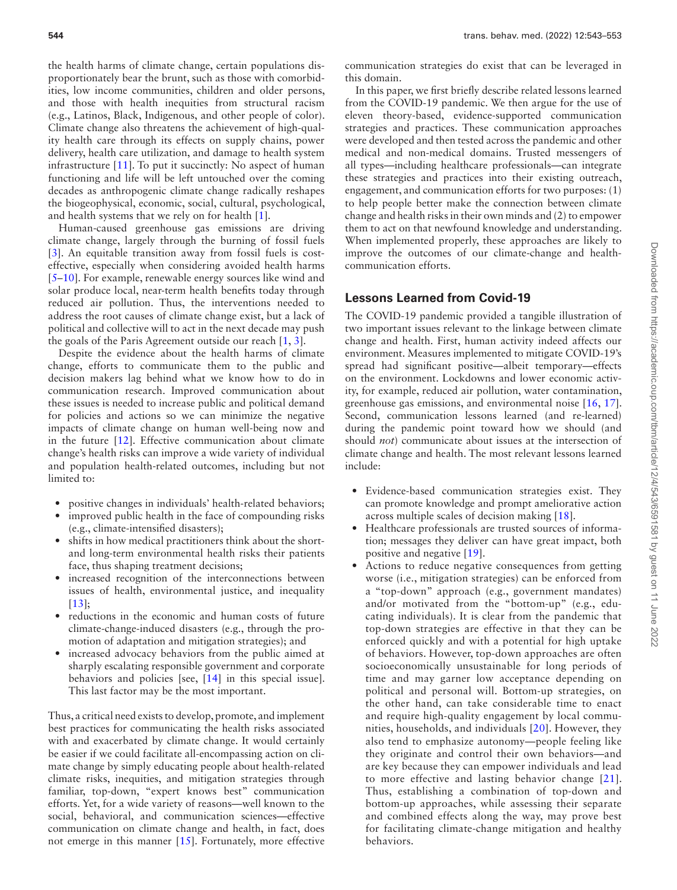the health harms of climate change, certain populations disproportionately bear the brunt, such as those with comorbidities, low income communities, children and older persons, and those with health inequities from structural racism (e.g., Latinos, Black, Indigenous, and other people of color). Climate change also threatens the achievement of high-quality health care through its effects on supply chains, power delivery, health care utilization, and damage to health system infrastructure [[11](#page-8-0)]. To put it succinctly: No aspect of human functioning and life will be left untouched over the coming decades as anthropogenic climate change radically reshapes the biogeophysical, economic, social, cultural, psychological, and health systems that we rely on for health [\[1\]](#page-7-0).

Human-caused greenhouse gas emissions are driving climate change, largely through the burning of fossil fuels [\[3\]](#page-7-2). An equitable transition away from fossil fuels is costeffective, especially when considering avoided health harms [5–10]. For example, renewable energy sources like wind and solar produce local, near-term health benefits today through reduced air pollution. Thus, the interventions needed to address the root causes of climate change exist, but a lack of political and collective will to act in the next decade may push the goals of the Paris Agreement outside our reach [[1,](#page-7-0) [3\]](#page-7-2).

Despite the evidence about the health harms of climate change, efforts to communicate them to the public and decision makers lag behind what we know how to do in communication research. Improved communication about these issues is needed to increase public and political demand for policies and actions so we can minimize the negative impacts of climate change on human well-being now and in the future [\[12\]](#page-8-1). Effective communication about climate change's health risks can improve a wide variety of individual and population health-related outcomes, including but not limited to:

- positive changes in individuals' health-related behaviors;
- improved public health in the face of compounding risks (e.g., climate-intensified disasters);
- shifts in how medical practitioners think about the shortand long-term environmental health risks their patients face, thus shaping treatment decisions;
- increased recognition of the interconnections between issues of health, environmental justice, and inequality [\[13\]](#page-8-2);
- reductions in the economic and human costs of future climate-change-induced disasters (e.g., through the promotion of adaptation and mitigation strategies); and
- increased advocacy behaviors from the public aimed at sharply escalating responsible government and corporate behaviors and policies [see, [\[14\]](#page-8-3) in this special issue]. This last factor may be the most important.

Thus, a critical need exists to develop, promote, and implement best practices for communicating the health risks associated with and exacerbated by climate change. It would certainly be easier if we could facilitate all-encompassing action on climate change by simply educating people about health-related climate risks, inequities, and mitigation strategies through familiar, top-down, "expert knows best" communication efforts. Yet, for a wide variety of reasons—well known to the social, behavioral, and communication sciences—effective communication on climate change and health, in fact, does not emerge in this manner [[15](#page-8-4)]. Fortunately, more effective communication strategies do exist that can be leveraged in this domain.

In this paper, we first briefly describe related lessons learned from the COVID-19 pandemic. We then argue for the use of eleven theory-based, evidence-supported communication strategies and practices. These communication approaches were developed and then tested across the pandemic and other medical and non-medical domains. Trusted messengers of all types—including healthcare professionals—can integrate these strategies and practices into their existing outreach, engagement, and communication efforts for two purposes: (1) to help people better make the connection between climate change and health risks in their own minds and (2) to empower them to act on that newfound knowledge and understanding. When implemented properly, these approaches are likely to improve the outcomes of our climate-change and healthcommunication efforts.

# **Lessons Learned from Covid-19**

The COVID-19 pandemic provided a tangible illustration of two important issues relevant to the linkage between climate change and health. First, human activity indeed affects our environment. Measures implemented to mitigate COVID-19's spread had significant positive—albeit temporary—effects on the environment. Lockdowns and lower economic activity, for example, reduced air pollution, water contamination, greenhouse gas emissions, and environmental noise [[16](#page-8-5), [17\]](#page-8-6). Second, communication lessons learned (and re-learned) during the pandemic point toward how we should (and should *not*) communicate about issues at the intersection of climate change and health. The most relevant lessons learned include:

- Evidence-based communication strategies exist. They can promote knowledge and prompt ameliorative action across multiple scales of decision making [[18](#page-8-7)].
- Healthcare professionals are trusted sources of information; messages they deliver can have great impact, both positive and negative [\[19](#page-8-8)].
- Actions to reduce negative consequences from getting worse (i.e., mitigation strategies) can be enforced from a "top-down" approach (e.g., government mandates) and/or motivated from the "bottom-up" (e.g., educating individuals). It is clear from the pandemic that top-down strategies are effective in that they can be enforced quickly and with a potential for high uptake of behaviors. However, top-down approaches are often socioeconomically unsustainable for long periods of time and may garner low acceptance depending on political and personal will. Bottom-up strategies, on the other hand, can take considerable time to enact and require high-quality engagement by local communities, households, and individuals [[20\]](#page-8-9). However, they also tend to emphasize autonomy—people feeling like they originate and control their own behaviors—and are key because they can empower individuals and lead to more effective and lasting behavior change [[21](#page-8-10)]. Thus, establishing a combination of top-down and bottom-up approaches, while assessing their separate and combined effects along the way, may prove best for facilitating climate-change mitigation and healthy behaviors.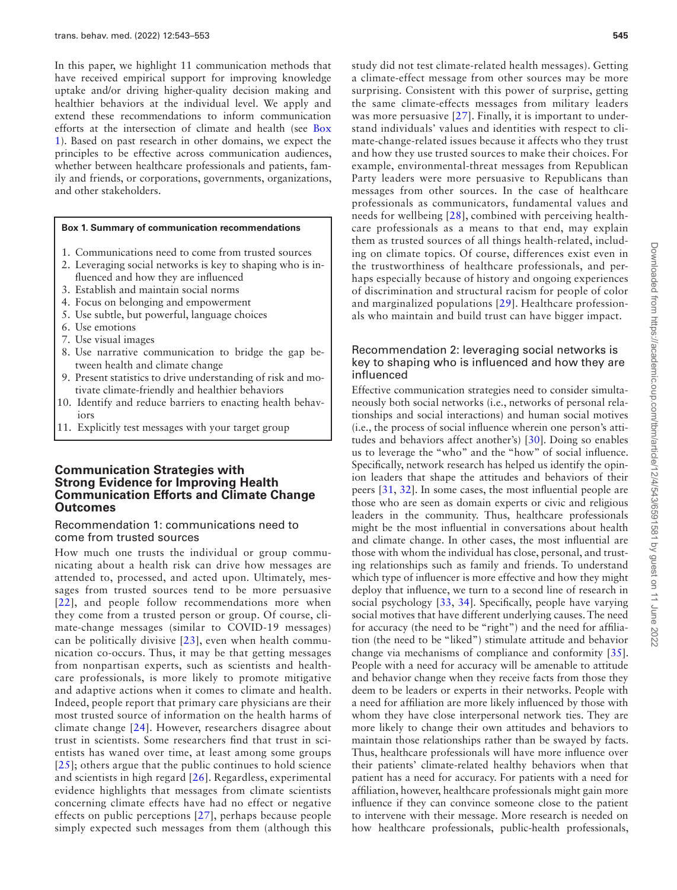In this paper, we highlight 11 communication methods that have received empirical support for improving knowledge uptake and/or driving higher-quality decision making and healthier behaviors at the individual level. We apply and extend these recommendations to inform communication efforts at the intersection of climate and health (see [Box](#page-2-0) [1](#page-2-0)). Based on past research in other domains, we expect the principles to be effective across communication audiences, whether between healthcare professionals and patients, family and friends, or corporations, governments, organizations, and other stakeholders.

#### <span id="page-2-0"></span>**Box 1. Summary of communication recommendations**

- 1. Communications need to come from trusted sources
- 2. Leveraging social networks is key to shaping who is influenced and how they are influenced
- 3. Establish and maintain social norms
- 4. Focus on belonging and empowerment
- 5. Use subtle, but powerful, language choices
- 6. Use emotions
- 7. Use visual images
- 8. Use narrative communication to bridge the gap between health and climate change
- 9. Present statistics to drive understanding of risk and motivate climate-friendly and healthier behaviors
- 10. Identify and reduce barriers to enacting health behaviors
- 11. Explicitly test messages with your target group

### **Communication Strategies with Strong Evidence for Improving Health Communication Efforts and Climate Change Outcomes**

#### Recommendation 1: communications need to come from trusted sources

How much one trusts the individual or group communicating about a health risk can drive how messages are attended to, processed, and acted upon. Ultimately, messages from trusted sources tend to be more persuasive [\[22](#page-8-11)], and people follow recommendations more when they come from a trusted person or group. Of course, climate-change messages (similar to COVID-19 messages) can be politically divisive [\[23](#page-8-12)], even when health communication co-occurs. Thus, it may be that getting messages from nonpartisan experts, such as scientists and healthcare professionals, is more likely to promote mitigative and adaptive actions when it comes to climate and health. Indeed, people report that primary care physicians are their most trusted source of information on the health harms of climate change [[24](#page-8-13)]. However, researchers disagree about trust in scientists. Some researchers find that trust in scientists has waned over time, at least among some groups [\[25](#page-8-14)]; others argue that the public continues to hold science and scientists in high regard [\[26](#page-8-15)]. Regardless, experimental evidence highlights that messages from climate scientists concerning climate effects have had no effect or negative effects on public perceptions [\[27\]](#page-8-16), perhaps because people simply expected such messages from them (although this

study did not test climate-related health messages). Getting a climate-effect message from other sources may be more surprising. Consistent with this power of surprise, getting the same climate-effects messages from military leaders was more persuasive [[27\]](#page-8-16). Finally, it is important to understand individuals' values and identities with respect to climate-change-related issues because it affects who they trust and how they use trusted sources to make their choices. For example, environmental-threat messages from Republican Party leaders were more persuasive to Republicans than messages from other sources. In the case of healthcare professionals as communicators, fundamental values and needs for wellbeing [[28](#page-8-17)], combined with perceiving healthcare professionals as a means to that end, may explain them as trusted sources of all things health-related, including on climate topics. Of course, differences exist even in the trustworthiness of healthcare professionals, and perhaps especially because of history and ongoing experiences of discrimination and structural racism for people of color

### Recommendation 2: leveraging social networks is key to shaping who is influenced and how they are influenced

and marginalized populations [\[29](#page-8-18)]. Healthcare professionals who maintain and build trust can have bigger impact.

Effective communication strategies need to consider simultaneously both social networks (i.e., networks of personal relationships and social interactions) and human social motives (i.e., the process of social influence wherein one person's attitudes and behaviors affect another's) [[30](#page-8-19)]. Doing so enables us to leverage the "who" and the "how" of social influence. Specifically, network research has helped us identify the opinion leaders that shape the attitudes and behaviors of their peers [\[31](#page-8-20), [32\]](#page-8-21). In some cases, the most influential people are those who are seen as domain experts or civic and religious leaders in the community. Thus, healthcare professionals might be the most influential in conversations about health and climate change. In other cases, the most influential are those with whom the individual has close, personal, and trusting relationships such as family and friends. To understand which type of influencer is more effective and how they might deploy that influence, we turn to a second line of research in social psychology [[33](#page-8-22), [34](#page-8-23)]. Specifically, people have varying social motives that have different underlying causes. The need for accuracy (the need to be "right") and the need for affiliation (the need to be "liked") stimulate attitude and behavior change via mechanisms of compliance and conformity [\[35](#page-8-24)]. People with a need for accuracy will be amenable to attitude and behavior change when they receive facts from those they deem to be leaders or experts in their networks. People with a need for affiliation are more likely influenced by those with whom they have close interpersonal network ties. They are more likely to change their own attitudes and behaviors to maintain those relationships rather than be swayed by facts. Thus, healthcare professionals will have more influence over their patients' climate-related healthy behaviors when that patient has a need for accuracy. For patients with a need for affiliation, however, healthcare professionals might gain more influence if they can convince someone close to the patient to intervene with their message. More research is needed on how healthcare professionals, public-health professionals,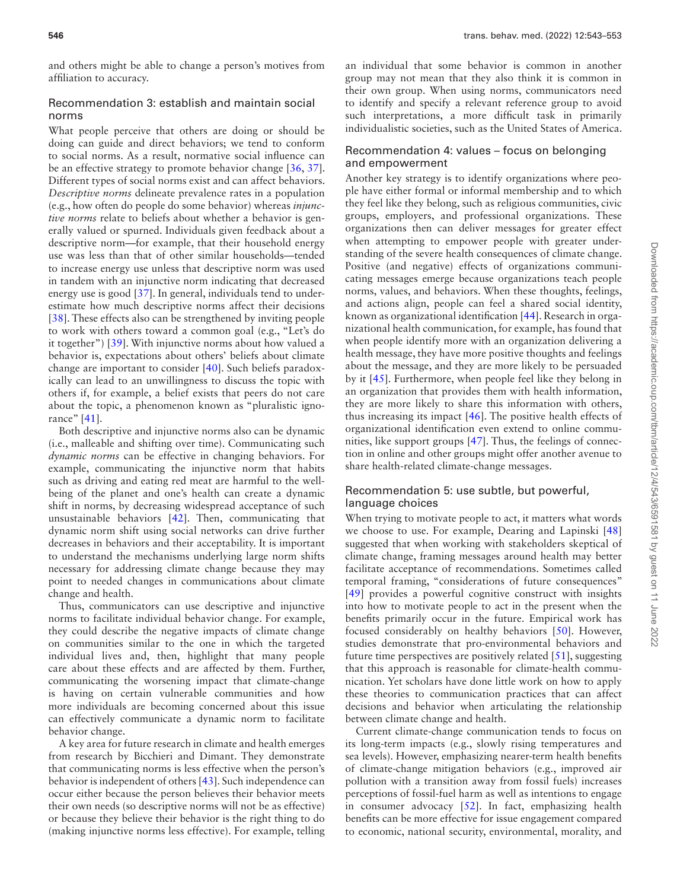and others might be able to change a person's motives from affiliation to accuracy.

# Recommendation 3: establish and maintain social norms

What people perceive that others are doing or should be doing can guide and direct behaviors; we tend to conform to social norms. As a result, normative social influence can be an effective strategy to promote behavior change [\[36](#page-8-25), [37](#page-8-26)]. Different types of social norms exist and can affect behaviors. *Descriptive norms* delineate prevalence rates in a population (e.g., how often do people do some behavior) whereas *injunctive norms* relate to beliefs about whether a behavior is generally valued or spurned. Individuals given feedback about a descriptive norm—for example, that their household energy use was less than that of other similar households—tended to increase energy use unless that descriptive norm was used in tandem with an injunctive norm indicating that decreased energy use is good [[37](#page-8-26)]. In general, individuals tend to underestimate how much descriptive norms affect their decisions [[38\]](#page-8-27). These effects also can be strengthened by inviting people to work with others toward a common goal (e.g., "Let's do it together") [\[39\]](#page-8-28). With injunctive norms about how valued a behavior is, expectations about others' beliefs about climate change are important to consider [\[40\]](#page-8-29). Such beliefs paradoxically can lead to an unwillingness to discuss the topic with others if, for example, a belief exists that peers do not care about the topic, a phenomenon known as "pluralistic ignorance" [\[41](#page-8-30)].

Both descriptive and injunctive norms also can be dynamic (i.e., malleable and shifting over time). Communicating such *dynamic norms* can be effective in changing behaviors. For example, communicating the injunctive norm that habits such as driving and eating red meat are harmful to the wellbeing of the planet and one's health can create a dynamic shift in norms, by decreasing widespread acceptance of such unsustainable behaviors [\[42\]](#page-8-31). Then, communicating that dynamic norm shift using social networks can drive further decreases in behaviors and their acceptability. It is important to understand the mechanisms underlying large norm shifts necessary for addressing climate change because they may point to needed changes in communications about climate change and health.

Thus, communicators can use descriptive and injunctive norms to facilitate individual behavior change. For example, they could describe the negative impacts of climate change on communities similar to the one in which the targeted individual lives and, then, highlight that many people care about these effects and are affected by them. Further, communicating the worsening impact that climate-change is having on certain vulnerable communities and how more individuals are becoming concerned about this issue can effectively communicate a dynamic norm to facilitate behavior change.

A key area for future research in climate and health emerges from research by Bicchieri and Dimant. They demonstrate that communicating norms is less effective when the person's behavior is independent of others [[43](#page-8-32)]. Such independence can occur either because the person believes their behavior meets their own needs (so descriptive norms will not be as effective) or because they believe their behavior is the right thing to do (making injunctive norms less effective). For example, telling an individual that some behavior is common in another group may not mean that they also think it is common in their own group. When using norms, communicators need to identify and specify a relevant reference group to avoid such interpretations, a more difficult task in primarily individualistic societies, such as the United States of America.

#### Recommendation 4: values – focus on belonging and empowerment

Another key strategy is to identify organizations where people have either formal or informal membership and to which they feel like they belong, such as religious communities, civic groups, employers, and professional organizations. These organizations then can deliver messages for greater effect when attempting to empower people with greater understanding of the severe health consequences of climate change. Positive (and negative) effects of organizations communicating messages emerge because organizations teach people norms, values, and behaviors. When these thoughts, feelings, and actions align, people can feel a shared social identity, known as organizational identification [[44](#page-8-33)]. Research in organizational health communication, for example, has found that when people identify more with an organization delivering a health message, they have more positive thoughts and feelings about the message, and they are more likely to be persuaded by it [\[45](#page-8-34)]. Furthermore, when people feel like they belong in an organization that provides them with health information, they are more likely to share this information with others, thus increasing its impact [\[46\]](#page-8-35). The positive health effects of organizational identification even extend to online communities, like support groups [\[47](#page-8-36)]. Thus, the feelings of connection in online and other groups might offer another avenue to share health-related climate-change messages.

# Recommendation 5: use subtle, but powerful, language choices

When trying to motivate people to act, it matters what words we choose to use. For example, Dearing and Lapinski [[48](#page-8-37)] suggested that when working with stakeholders skeptical of climate change, framing messages around health may better facilitate acceptance of recommendations. Sometimes called temporal framing, "considerations of future consequences" [[49](#page-8-38)] provides a powerful cognitive construct with insights into how to motivate people to act in the present when the benefits primarily occur in the future. Empirical work has focused considerably on healthy behaviors [\[50](#page-8-39)]. However, studies demonstrate that pro-environmental behaviors and future time perspectives are positively related [\[51](#page-9-0)], suggesting that this approach is reasonable for climate-health communication. Yet scholars have done little work on how to apply these theories to communication practices that can affect decisions and behavior when articulating the relationship between climate change and health.

Current climate-change communication tends to focus on its long-term impacts (e.g., slowly rising temperatures and sea levels). However, emphasizing nearer-term health benefits of climate-change mitigation behaviors (e.g., improved air pollution with a transition away from fossil fuels) increases perceptions of fossil-fuel harm as well as intentions to engage in consumer advocacy [\[52](#page-9-1)]. In fact, emphasizing health benefits can be more effective for issue engagement compared to economic, national security, environmental, morality, and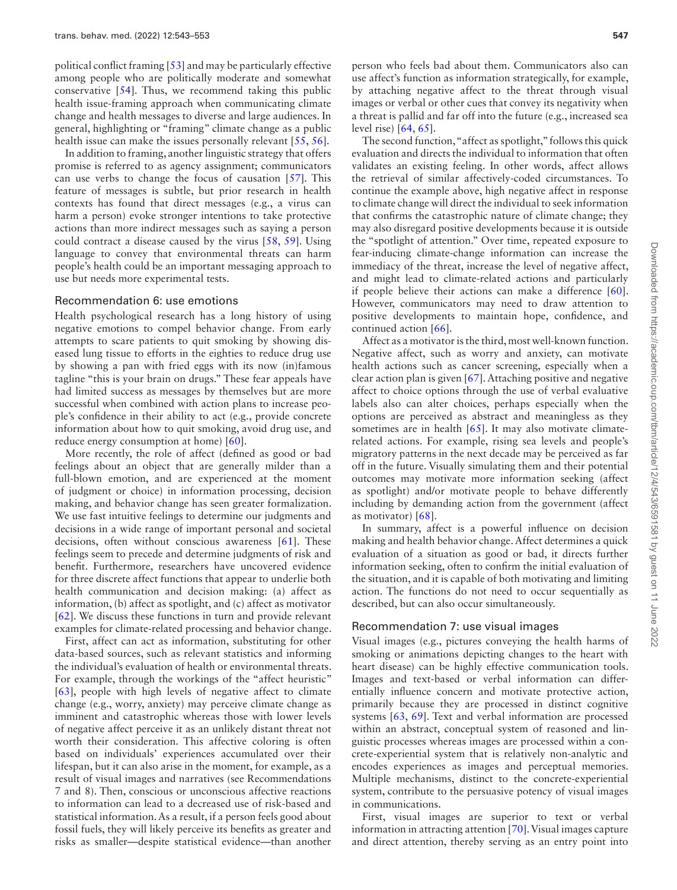political conflict framing [\[53\]](#page-9-2) and may be particularly effective among people who are politically moderate and somewhat conservative [\[54](#page-9-3)]. Thus, we recommend taking this public health issue-framing approach when communicating climate change and health messages to diverse and large audiences. In general, highlighting or "framing" climate change as a public health issue can make the issues personally relevant [[55](#page-9-4), [56](#page-9-5)].

In addition to framing, another linguistic strategy that offers promise is referred to as agency assignment; communicators can use verbs to change the focus of causation [\[57\]](#page-9-6). This feature of messages is subtle, but prior research in health contexts has found that direct messages (e.g., a virus can harm a person) evoke stronger intentions to take protective actions than more indirect messages such as saying a person could contract a disease caused by the virus [\[58](#page-9-7), [59](#page-9-8)]. Using language to convey that environmental threats can harm people's health could be an important messaging approach to use but needs more experimental tests.

#### Recommendation 6: use emotions

Health psychological research has a long history of using negative emotions to compel behavior change. From early attempts to scare patients to quit smoking by showing diseased lung tissue to efforts in the eighties to reduce drug use by showing a pan with fried eggs with its now (in)famous tagline "this is your brain on drugs." These fear appeals have had limited success as messages by themselves but are more successful when combined with action plans to increase people's confidence in their ability to act (e.g., provide concrete information about how to quit smoking, avoid drug use, and reduce energy consumption at home) [\[60\]](#page-9-9).

More recently, the role of affect (defined as good or bad feelings about an object that are generally milder than a full-blown emotion, and are experienced at the moment of judgment or choice) in information processing, decision making, and behavior change has seen greater formalization. We use fast intuitive feelings to determine our judgments and decisions in a wide range of important personal and societal decisions, often without conscious awareness [[61\]](#page-9-10). These feelings seem to precede and determine judgments of risk and benefit. Furthermore, researchers have uncovered evidence for three discrete affect functions that appear to underlie both health communication and decision making: (a) affect as information, (b) affect as spotlight, and (c) affect as motivator [\[62\]](#page-9-11). We discuss these functions in turn and provide relevant examples for climate-related processing and behavior change.

First, affect can act as information, substituting for other data-based sources, such as relevant statistics and informing the individual's evaluation of health or environmental threats. For example, through the workings of the "affect heuristic" [\[63\]](#page-9-12), people with high levels of negative affect to climate change (e.g., worry, anxiety) may perceive climate change as imminent and catastrophic whereas those with lower levels of negative affect perceive it as an unlikely distant threat not worth their consideration. This affective coloring is often based on individuals' experiences accumulated over their lifespan, but it can also arise in the moment, for example, as a result of visual images and narratives (see Recommendations 7 and 8). Then, conscious or unconscious affective reactions to information can lead to a decreased use of risk-based and statistical information. As a result, if a person feels good about fossil fuels, they will likely perceive its benefits as greater and risks as smaller—despite statistical evidence—than another

The second function, "affect as spotlight," follows this quick evaluation and directs the individual to information that often validates an existing feeling. In other words, affect allows the retrieval of similar affectively-coded circumstances. To continue the example above, high negative affect in response to climate change will direct the individual to seek information that confirms the catastrophic nature of climate change; they may also disregard positive developments because it is outside the "spotlight of attention." Over time, repeated exposure to fear-inducing climate-change information can increase the immediacy of the threat, increase the level of negative affect, and might lead to climate-related actions and particularly if people believe their actions can make a difference [\[60](#page-9-9)]. However, communicators may need to draw attention to positive developments to maintain hope, confidence, and continued action [[66](#page-9-15)].

Affect as a motivator is the third, most well-known function. Negative affect, such as worry and anxiety, can motivate health actions such as cancer screening, especially when a clear action plan is given [\[67\]](#page-9-16). Attaching positive and negative affect to choice options through the use of verbal evaluative labels also can alter choices, perhaps especially when the options are perceived as abstract and meaningless as they sometimes are in health  $[65]$ . It may also motivate climaterelated actions. For example, rising sea levels and people's migratory patterns in the next decade may be perceived as far off in the future. Visually simulating them and their potential outcomes may motivate more information seeking (affect as spotlight) and/or motivate people to behave differently including by demanding action from the government (affect as motivator) [[68\]](#page-9-17).

In summary, affect is a powerful influence on decision making and health behavior change. Affect determines a quick evaluation of a situation as good or bad, it directs further information seeking, often to confirm the initial evaluation of the situation, and it is capable of both motivating and limiting action. The functions do not need to occur sequentially as described, but can also occur simultaneously.

#### Recommendation 7: use visual images

Visual images (e.g., pictures conveying the health harms of smoking or animations depicting changes to the heart with heart disease) can be highly effective communication tools. Images and text-based or verbal information can differentially influence concern and motivate protective action, primarily because they are processed in distinct cognitive systems [\[63](#page-9-12), [69](#page-9-18)]. Text and verbal information are processed within an abstract, conceptual system of reasoned and linguistic processes whereas images are processed within a concrete-experiential system that is relatively non-analytic and encodes experiences as images and perceptual memories. Multiple mechanisms, distinct to the concrete-experiential system, contribute to the persuasive potency of visual images in communications.

First, visual images are superior to text or verbal information in attracting attention [\[70](#page-9-19)]. Visual images capture and direct attention, thereby serving as an entry point into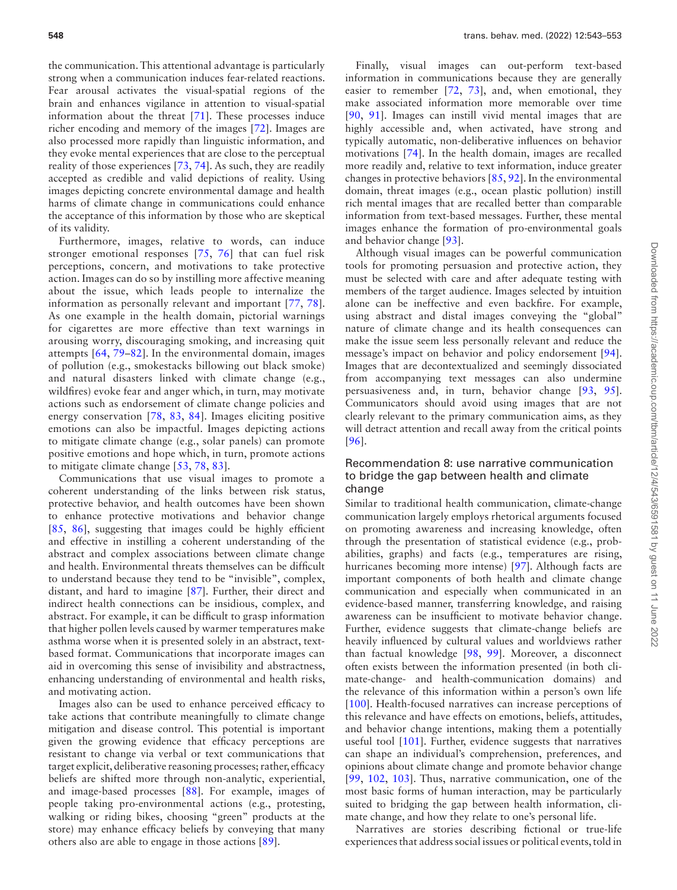the communication. This attentional advantage is particularly strong when a communication induces fear-related reactions. Fear arousal activates the visual-spatial regions of the brain and enhances vigilance in attention to visual-spatial information about the threat [[71\]](#page-9-20). These processes induce richer encoding and memory of the images [[72\]](#page-9-21). Images are also processed more rapidly than linguistic information, and they evoke mental experiences that are close to the perceptual reality of those experiences [[73](#page-9-22), [74](#page-9-23)]. As such, they are readily accepted as credible and valid depictions of reality. Using images depicting concrete environmental damage and health harms of climate change in communications could enhance the acceptance of this information by those who are skeptical of its validity.

Furthermore, images, relative to words, can induce stronger emotional responses [[75](#page-9-24), [76](#page-9-25)] that can fuel risk perceptions, concern, and motivations to take protective action. Images can do so by instilling more affective meaning about the issue, which leads people to internalize the information as personally relevant and important [[77](#page-9-26), [78](#page-9-27)]. As one example in the health domain, pictorial warnings for cigarettes are more effective than text warnings in arousing worry, discouraging smoking, and increasing quit attempts [[64](#page-9-13), 79–82]. In the environmental domain, images of pollution (e.g., smokestacks billowing out black smoke) and natural disasters linked with climate change (e.g., wildfires) evoke fear and anger which, in turn, may motivate actions such as endorsement of climate change policies and energy conservation [\[78,](#page-9-27) [83,](#page-9-28) [84](#page-9-29)]. Images eliciting positive emotions can also be impactful. Images depicting actions to mitigate climate change (e.g., solar panels) can promote positive emotions and hope which, in turn, promote actions to mitigate climate change [[53](#page-9-2), [78](#page-9-27), [83\]](#page-9-28).

Communications that use visual images to promote a coherent understanding of the links between risk status, protective behavior, and health outcomes have been shown to enhance protective motivations and behavior change [[85,](#page-9-30) [86](#page-9-31)], suggesting that images could be highly efficient and effective in instilling a coherent understanding of the abstract and complex associations between climate change and health. Environmental threats themselves can be difficult to understand because they tend to be "invisible", complex, distant, and hard to imagine [[87\]](#page-9-32). Further, their direct and indirect health connections can be insidious, complex, and abstract. For example, it can be difficult to grasp information that higher pollen levels caused by warmer temperatures make asthma worse when it is presented solely in an abstract, textbased format. Communications that incorporate images can aid in overcoming this sense of invisibility and abstractness, enhancing understanding of environmental and health risks, and motivating action.

Images also can be used to enhance perceived efficacy to take actions that contribute meaningfully to climate change mitigation and disease control. This potential is important given the growing evidence that efficacy perceptions are resistant to change via verbal or text communications that target explicit, deliberative reasoning processes; rather, efficacy beliefs are shifted more through non-analytic, experiential, and image-based processes [\[88\]](#page-9-33). For example, images of people taking pro-environmental actions (e.g., protesting, walking or riding bikes, choosing "green" products at the store) may enhance efficacy beliefs by conveying that many others also are able to engage in those actions [[89\]](#page-9-34).

Finally, visual images can out-perform text-based information in communications because they are generally easier to remember [[72](#page-9-21), [73](#page-9-22)], and, when emotional, they make associated information more memorable over time [[90](#page-9-35), [91\]](#page-9-36). Images can instill vivid mental images that are highly accessible and, when activated, have strong and typically automatic, non-deliberative influences on behavior motivations [[74](#page-9-23)]. In the health domain, images are recalled more readily and, relative to text information, induce greater changes in protective behaviors [\[85,](#page-9-30) [92](#page-9-37)]. In the environmental domain, threat images (e.g., ocean plastic pollution) instill rich mental images that are recalled better than comparable information from text-based messages. Further, these mental images enhance the formation of pro-environmental goals and behavior change [\[93](#page-9-38)].

Although visual images can be powerful communication tools for promoting persuasion and protective action, they must be selected with care and after adequate testing with members of the target audience. Images selected by intuition alone can be ineffective and even backfire. For example, using abstract and distal images conveying the "global" nature of climate change and its health consequences can make the issue seem less personally relevant and reduce the message's impact on behavior and policy endorsement [\[94\]](#page-9-39). Images that are decontextualized and seemingly dissociated from accompanying text messages can also undermine persuasiveness and, in turn, behavior change [\[93](#page-9-38), [95\]](#page-10-0). Communicators should avoid using images that are not clearly relevant to the primary communication aims, as they will detract attention and recall away from the critical points [[96](#page-10-1)].

#### Recommendation 8: use narrative communication to bridge the gap between health and climate change

Similar to traditional health communication, climate-change communication largely employs rhetorical arguments focused on promoting awareness and increasing knowledge, often through the presentation of statistical evidence (e.g., probabilities, graphs) and facts (e.g., temperatures are rising, hurricanes becoming more intense) [[97](#page-10-2)]. Although facts are important components of both health and climate change communication and especially when communicated in an evidence-based manner, transferring knowledge, and raising awareness can be insufficient to motivate behavior change. Further, evidence suggests that climate-change beliefs are heavily influenced by cultural values and worldviews rather than factual knowledge [[98](#page-10-3), [99\]](#page-10-4). Moreover, a disconnect often exists between the information presented (in both climate-change- and health-communication domains) and the relevance of this information within a person's own life [[100](#page-10-5)]. Health-focused narratives can increase perceptions of this relevance and have effects on emotions, beliefs, attitudes, and behavior change intentions, making them a potentially useful tool [\[101\]](#page-10-6). Further, evidence suggests that narratives can shape an individual's comprehension, preferences, and opinions about climate change and promote behavior change [[99](#page-10-4), [102,](#page-10-7) [103](#page-10-8)]. Thus, narrative communication, one of the most basic forms of human interaction, may be particularly suited to bridging the gap between health information, climate change, and how they relate to one's personal life.

Narratives are stories describing fictional or true-life experiences that address social issues or political events, told in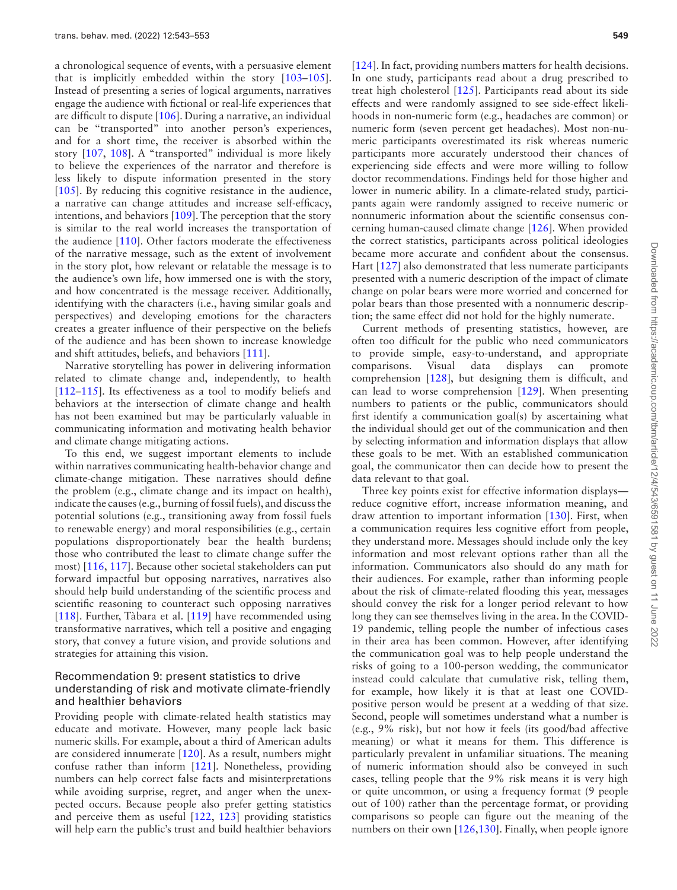a chronological sequence of events, with a persuasive element that is implicitly embedded within the story [103–105]. Instead of presenting a series of logical arguments, narratives engage the audience with fictional or real-life experiences that are difficult to dispute [[106](#page-10-9)]. During a narrative, an individual can be "transported" into another person's experiences, and for a short time, the receiver is absorbed within the story [\[107,](#page-10-10) [108](#page-10-11)]. A "transported" individual is more likely to believe the experiences of the narrator and therefore is less likely to dispute information presented in the story [\[105\]](#page-10-12). By reducing this cognitive resistance in the audience, a narrative can change attitudes and increase self-efficacy, intentions, and behaviors [[109\]](#page-10-13). The perception that the story is similar to the real world increases the transportation of the audience [[110](#page-10-14)]. Other factors moderate the effectiveness of the narrative message, such as the extent of involvement in the story plot, how relevant or relatable the message is to the audience's own life, how immersed one is with the story, and how concentrated is the message receiver. Additionally, identifying with the characters (i.e., having similar goals and perspectives) and developing emotions for the characters creates a greater influence of their perspective on the beliefs of the audience and has been shown to increase knowledge and shift attitudes, beliefs, and behaviors [[111](#page-10-15)].

Narrative storytelling has power in delivering information related to climate change and, independently, to health [112–115]. Its effectiveness as a tool to modify beliefs and behaviors at the intersection of climate change and health has not been examined but may be particularly valuable in communicating information and motivating health behavior and climate change mitigating actions.

To this end, we suggest important elements to include within narratives communicating health-behavior change and climate-change mitigation. These narratives should define the problem (e.g., climate change and its impact on health), indicate the causes (e.g., burning of fossil fuels), and discuss the potential solutions (e.g., transitioning away from fossil fuels to renewable energy) and moral responsibilities (e.g., certain populations disproportionately bear the health burdens; those who contributed the least to climate change suffer the most) [\[116,](#page-10-16) [117\]](#page-10-17). Because other societal stakeholders can put forward impactful but opposing narratives, narratives also should help build understanding of the scientific process and scientific reasoning to counteract such opposing narratives [\[118\]](#page-10-18). Further, Tàbara et al. [\[119\]](#page-10-19) have recommended using transformative narratives, which tell a positive and engaging story, that convey a future vision, and provide solutions and strategies for attaining this vision.

#### Recommendation 9: present statistics to drive understanding of risk and motivate climate-friendly and healthier behaviors

Providing people with climate-related health statistics may educate and motivate. However, many people lack basic numeric skills. For example, about a third of American adults are considered innumerate [\[120](#page-10-20)]. As a result, numbers might confuse rather than inform [\[121\]](#page-10-21). Nonetheless, providing numbers can help correct false facts and misinterpretations while avoiding surprise, regret, and anger when the unexpected occurs. Because people also prefer getting statistics and perceive them as useful [[122](#page-10-22), [123\]](#page-10-23) providing statistics will help earn the public's trust and build healthier behaviors

[[124\]](#page-10-24). In fact, providing numbers matters for health decisions. In one study, participants read about a drug prescribed to treat high cholesterol [\[125\]](#page-10-25). Participants read about its side effects and were randomly assigned to see side-effect likelihoods in non-numeric form (e.g., headaches are common) or numeric form (seven percent get headaches). Most non-numeric participants overestimated its risk whereas numeric participants more accurately understood their chances of experiencing side effects and were more willing to follow doctor recommendations. Findings held for those higher and lower in numeric ability. In a climate-related study, participants again were randomly assigned to receive numeric or nonnumeric information about the scientific consensus concerning human-caused climate change [\[126\]](#page-10-26). When provided the correct statistics, participants across political ideologies became more accurate and confident about the consensus. Hart [\[127\]](#page-10-27) also demonstrated that less numerate participants presented with a numeric description of the impact of climate change on polar bears were more worried and concerned for polar bears than those presented with a nonnumeric description; the same effect did not hold for the highly numerate.

Current methods of presenting statistics, however, are often too difficult for the public who need communicators to provide simple, easy-to-understand, and appropriate comparisons. Visual data displays can promote comprehension [\[128](#page-10-28)], but designing them is difficult, and can lead to worse comprehension [\[129\]](#page-10-29). When presenting numbers to patients or the public, communicators should first identify a communication goal(s) by ascertaining what the individual should get out of the communication and then by selecting information and information displays that allow these goals to be met. With an established communication goal, the communicator then can decide how to present the data relevant to that goal.

Three key points exist for effective information displays reduce cognitive effort, increase information meaning, and draw attention to important information [\[130](#page-10-30)]. First, when a communication requires less cognitive effort from people, they understand more. Messages should include only the key information and most relevant options rather than all the information. Communicators also should do any math for their audiences. For example, rather than informing people about the risk of climate-related flooding this year, messages should convey the risk for a longer period relevant to how long they can see themselves living in the area. In the COVID-19 pandemic, telling people the number of infectious cases in their area has been common. However, after identifying the communication goal was to help people understand the risks of going to a 100-person wedding, the communicator instead could calculate that cumulative risk, telling them, for example, how likely it is that at least one COVIDpositive person would be present at a wedding of that size. Second, people will sometimes understand what a number is (e.g., 9% risk), but not how it feels (its good/bad affective meaning) or what it means for them. This difference is particularly prevalent in unfamiliar situations. The meaning of numeric information should also be conveyed in such cases, telling people that the 9% risk means it is very high or quite uncommon, or using a frequency format (9 people out of 100) rather than the percentage format, or providing comparisons so people can figure out the meaning of the numbers on their own [[126](#page-10-26),[130](#page-10-30)]. Finally, when people ignore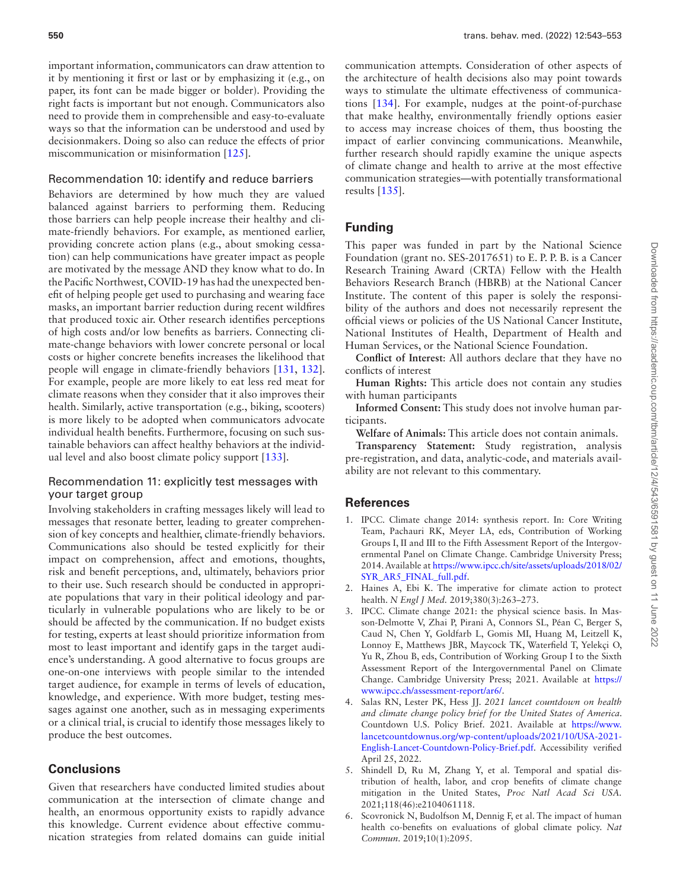important information, communicators can draw attention to it by mentioning it first or last or by emphasizing it (e.g., on paper, its font can be made bigger or bolder). Providing the right facts is important but not enough. Communicators also need to provide them in comprehensible and easy-to-evaluate ways so that the information can be understood and used by decisionmakers. Doing so also can reduce the effects of prior miscommunication or misinformation [[125](#page-10-25)].

#### Recommendation 10: identify and reduce barriers

Behaviors are determined by how much they are valued balanced against barriers to performing them. Reducing those barriers can help people increase their healthy and climate-friendly behaviors. For example, as mentioned earlier, providing concrete action plans (e.g., about smoking cessation) can help communications have greater impact as people are motivated by the message AND they know what to do. In the Pacific Northwest, COVID-19 has had the unexpected benefit of helping people get used to purchasing and wearing face masks, an important barrier reduction during recent wildfires that produced toxic air. Other research identifies perceptions of high costs and/or low benefits as barriers. Connecting climate-change behaviors with lower concrete personal or local costs or higher concrete benefits increases the likelihood that people will engage in climate-friendly behaviors [[131](#page-10-31), [132](#page-10-32)]. For example, people are more likely to eat less red meat for climate reasons when they consider that it also improves their health. Similarly, active transportation (e.g., biking, scooters) is more likely to be adopted when communicators advocate individual health benefits. Furthermore, focusing on such sustainable behaviors can affect healthy behaviors at the individual level and also boost climate policy support [\[133\]](#page-10-33).

#### Recommendation 11: explicitly test messages with your target group

Involving stakeholders in crafting messages likely will lead to messages that resonate better, leading to greater comprehension of key concepts and healthier, climate-friendly behaviors. Communications also should be tested explicitly for their impact on comprehension, affect and emotions, thoughts, risk and benefit perceptions, and, ultimately, behaviors prior to their use. Such research should be conducted in appropriate populations that vary in their political ideology and particularly in vulnerable populations who are likely to be or should be affected by the communication. If no budget exists for testing, experts at least should prioritize information from most to least important and identify gaps in the target audience's understanding. A good alternative to focus groups are one-on-one interviews with people similar to the intended target audience, for example in terms of levels of education, knowledge, and experience. With more budget, testing messages against one another, such as in messaging experiments or a clinical trial, is crucial to identify those messages likely to produce the best outcomes.

# **Conclusions**

Given that researchers have conducted limited studies about communication at the intersection of climate change and health, an enormous opportunity exists to rapidly advance this knowledge. Current evidence about effective communication strategies from related domains can guide initial communication attempts. Consideration of other aspects of the architecture of health decisions also may point towards ways to stimulate the ultimate effectiveness of communications [[134](#page-10-34)]. For example, nudges at the point-of-purchase that make healthy, environmentally friendly options easier to access may increase choices of them, thus boosting the impact of earlier convincing communications. Meanwhile, further research should rapidly examine the unique aspects of climate change and health to arrive at the most effective communication strategies—with potentially transformational results [\[135\]](#page-10-35).

# **Funding**

This paper was funded in part by the National Science Foundation (grant no. SES-2017651) to E. P. P. B. is a Cancer Research Training Award (CRTA) Fellow with the Health Behaviors Research Branch (HBRB) at the National Cancer Institute. The content of this paper is solely the responsibility of the authors and does not necessarily represent the official views or policies of the US National Cancer Institute, National Institutes of Health, Department of Health and Human Services, or the National Science Foundation.

**Conflict of Interest**: All authors declare that they have no conflicts of interest

**Human Rights:** This article does not contain any studies with human participants

**Informed Consent:** This study does not involve human participants.

**Welfare of Animals:** This article does not contain animals. **Transparency Statement:** Study registration, analysis pre-registration, and data, analytic-code, and materials availability are not relevant to this commentary.

# **References**

- <span id="page-7-0"></span>1. IPCC. Climate change 2014: synthesis report. In: Core Writing Team, Pachauri RK, Meyer LA, eds, Contribution of Working Groups I, II and III to the Fifth Assessment Report of the Intergovernmental Panel on Climate Change. Cambridge University Press; 2014. Available at [https://www.ipcc.ch/site/assets/uploads/2018/02/](https://www.ipcc.ch/site/assets/uploads/2018/02/SYR_AR5_FINAL_full.pdf) [SYR\\_AR5\\_FINAL\\_full.pdf.](https://www.ipcc.ch/site/assets/uploads/2018/02/SYR_AR5_FINAL_full.pdf)
- <span id="page-7-1"></span>2. Haines A, Ebi K. The imperative for climate action to protect health. *N Engl J Med.* 2019;380(3):263–273.
- <span id="page-7-2"></span>3. IPCC. Climate change 2021: the physical science basis. In Masson-Delmotte V, Zhai P, Pirani A, Connors SL, Péan C, Berger S, Caud N, Chen Y, Goldfarb L, Gomis MI, Huang M, Leitzell K, Lonnoy E, Matthews JBR, Maycock TK, Waterfield T, Yelekçi O, Yu R, Zhou B, eds, Contribution of Working Group I to the Sixth Assessment Report of the Intergovernmental Panel on Climate Change. Cambridge University Press; 2021. Available at [https://](https://www.ipcc.ch/assessment-report/ar6/) [www.ipcc.ch/assessment-report/ar6/.](https://www.ipcc.ch/assessment-report/ar6/)
- 4. Salas RN, Lester PK, Hess JJ. *2021 lancet countdown on health and climate change policy brief for the United States of America*. Countdown U.S. Policy Brief. 2021. Available at [https://www.](https://www.lancetcountdownus.org/wp-content/uploads/2021/10/USA-2021-English-Lancet-Countdown-Policy-Brief.pdf) [lancetcountdownus.org/wp-content/uploads/2021/10/USA-2021-](https://www.lancetcountdownus.org/wp-content/uploads/2021/10/USA-2021-English-Lancet-Countdown-Policy-Brief.pdf) [English-Lancet-Countdown-Policy-Brief.pdf](https://www.lancetcountdownus.org/wp-content/uploads/2021/10/USA-2021-English-Lancet-Countdown-Policy-Brief.pdf). Accessibility verified April 25, 2022.
- 5. Shindell D, Ru M, Zhang Y, et al. Temporal and spatial distribution of health, labor, and crop benefits of climate change mitigation in the United States, *Proc Natl Acad Sci USA.* 2021;118(46):e2104061118.
- 6. Scovronick N, Budolfson M, Dennig F, et al. The impact of human health co-benefits on evaluations of global climate policy. *Nat Commun.* 2019;10(1):2095.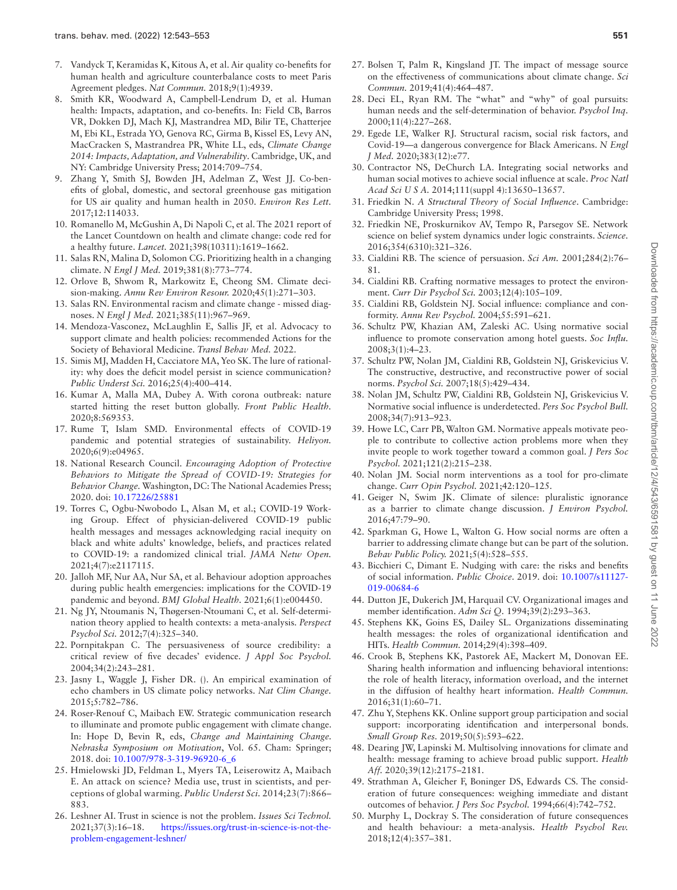- 7. Vandyck T, Keramidas K, Kitous A, et al. Air quality co-benefits for human health and agriculture counterbalance costs to meet Paris Agreement pledges. *Nat Commun.* 2018;9(1):4939.
- 8. Smith KR, Woodward A, Campbell-Lendrum D, et al. Human health: Impacts, adaptation, and co-benefits. In: Field CB, Barros VR, Dokken DJ, Mach KJ, Mastrandrea MD, Bilir TE, Chatterjee M, Ebi KL, Estrada YO, Genova RC, Girma B, Kissel ES, Levy AN, MacCracken S, Mastrandrea PR, White LL, eds, *Climate Change 2014: Impacts, Adaptation, and Vulnerability*. Cambridge, UK, and NY: Cambridge University Press; 2014:709–754.
- 9. Zhang Y, Smith SJ, Bowden JH, Adelman Z, West JJ. Co-benefits of global, domestic, and sectoral greenhouse gas mitigation for US air quality and human health in 2050. *Environ Res Lett.* 2017;12:114033.
- 10. Romanello M, McGushin A, Di Napoli C, et al. The 2021 report of the Lancet Countdown on health and climate change: code red for a healthy future. *Lancet.* 2021;398(10311):1619–1662.
- <span id="page-8-0"></span>11. Salas RN, Malina D, Solomon CG. Prioritizing health in a changing climate. *N Engl J Med.* 2019;381(8):773–774.
- <span id="page-8-1"></span>12. Orlove B, Shwom R, Markowitz E, Cheong SM. Climate decision-making. *Annu Rev Environ Resour.* 2020;45(1):271–303.
- <span id="page-8-2"></span>13. Salas RN. Environmental racism and climate change - missed diagnoses. *N Engl J Med.* 2021;385(11):967–969.
- <span id="page-8-3"></span>14. Mendoza-Vasconez, McLaughlin E, Sallis JF, et al. Advocacy to support climate and health policies: recommended Actions for the Society of Behavioral Medicine. *Transl Behav Med.* 2022.
- <span id="page-8-4"></span>15. Simis MJ, Madden H, Cacciatore MA, Yeo SK. The lure of rationality: why does the deficit model persist in science communication? *Public Underst Sci.* 2016;25(4):400–414.
- <span id="page-8-5"></span>16. Kumar A, Malla MA, Dubey A. With corona outbreak: nature started hitting the reset button globally. *Front Public Health.* 2020;8:569353.
- <span id="page-8-6"></span>17. Rume T, Islam SMD. Environmental effects of COVID-19 pandemic and potential strategies of sustainability. *Heliyon.* 2020;6(9):e04965.
- <span id="page-8-7"></span>18. National Research Council. *Encouraging Adoption of Protective Behaviors to Mitigate the Spread of COVID-19: Strategies for Behavior Change.* Washington, DC: The National Academies Press; 2020. doi: [10.17226/25881](https://doi.org/10.17226/25881)
- <span id="page-8-8"></span>19. Torres C, Ogbu-Nwobodo L, Alsan M, et al.; COVID-19 Working Group. Effect of physician-delivered COVID-19 public health messages and messages acknowledging racial inequity on black and white adults' knowledge, beliefs, and practices related to COVID-19: a randomized clinical trial. *JAMA Netw Open.* 2021;4(7):e2117115.
- <span id="page-8-9"></span>20. Jalloh MF, Nur AA, Nur SA, et al. Behaviour adoption approaches during public health emergencies: implications for the COVID-19 pandemic and beyond. *BMJ Global Health.* 2021;6(1):e004450.
- <span id="page-8-10"></span>21. Ng JY, Ntoumanis N, Thøgersen-Ntoumani C, et al. Self-determination theory applied to health contexts: a meta-analysis. *Perspect Psychol Sci.* 2012;7(4):325–340.
- <span id="page-8-11"></span>22. Pornpitakpan C. The persuasiveness of source credibility: a critical review of five decades' evidence. *J Appl Soc Psychol.* 2004;34(2):243–281.
- <span id="page-8-12"></span>23. Jasny L, Waggle J, Fisher DR. (). An empirical examination of echo chambers in US climate policy networks. *Nat Clim Change.* 2015;5:782–786.
- <span id="page-8-13"></span>24. Roser-Renouf C, Maibach EW. Strategic communication research to illuminate and promote public engagement with climate change. In: Hope D, Bevin R, eds, *Change and Maintaining Change. Nebraska Symposium on Motivation*, Vol. 65. Cham: Springer; 2018. doi: [10.1007/978-3-319-96920-6\\_6](https://doi.org/10.1007/978-3-319-96920-6_6)
- <span id="page-8-14"></span>25. Hmielowski JD, Feldman L, Myers TA, Leiserowitz A, Maibach E. An attack on science? Media use, trust in scientists, and perceptions of global warming. *Public Underst Sci.* 2014;23(7):866– 883.
- <span id="page-8-15"></span>26. Leshner AI. Trust in science is not the problem. *Issues Sci Technol.* 2021;37(3):16–18. [https://issues.org/trust-in-science-is-not-the](https://issues.org/trust-in-science-is-not-the-problem-engagement-leshner/)[problem-engagement-leshner/](https://issues.org/trust-in-science-is-not-the-problem-engagement-leshner/)
- <span id="page-8-16"></span>27. Bolsen T, Palm R, Kingsland JT. The impact of message source on the effectiveness of communications about climate change. *Sci Commun.* 2019;41(4):464–487.
- <span id="page-8-17"></span>28. Deci EL, Ryan RM. The "what" and "why" of goal pursuits: human needs and the self-determination of behavior. *Psychol Inq.* 2000;11(4):227–268.
- <span id="page-8-18"></span>29. Egede LE, Walker RJ. Structural racism, social risk factors, and Covid-19—a dangerous convergence for Black Americans. *N Engl J Med.* 2020;383(12):e77.
- <span id="page-8-19"></span>30. Contractor NS, DeChurch LA. Integrating social networks and human social motives to achieve social influence at scale. *Proc Natl Acad Sci U S A.* 2014;111(suppl 4):13650–13657.
- <span id="page-8-20"></span>31. Friedkin N. *A Structural Theory of Social Influence*. Cambridge: Cambridge University Press; 1998.
- <span id="page-8-21"></span>32. Friedkin NE, Proskurnikov AV, Tempo R, Parsegov SE. Network science on belief system dynamics under logic constraints. *Science.* 2016;354(6310):321–326.
- <span id="page-8-22"></span>33. Cialdini RB. The science of persuasion. *Sci Am.* 2001;284(2):76– 81.
- <span id="page-8-23"></span>34. Cialdini RB. Crafting normative messages to protect the environment. *Curr Dir Psychol Sci.* 2003;12(4):105–109.
- <span id="page-8-24"></span>35. Cialdini RB, Goldstein NJ. Social influence: compliance and conformity. *Annu Rev Psychol.* 2004;55:591–621.
- <span id="page-8-25"></span>36. Schultz PW, Khazian AM, Zaleski AC. Using normative social influence to promote conservation among hotel guests. *Soc Influ.* 2008;3(1):4–23.
- <span id="page-8-26"></span>37. Schultz PW, Nolan JM, Cialdini RB, Goldstein NJ, Griskevicius V. The constructive, destructive, and reconstructive power of social norms. *Psychol Sci.* 2007;18(5):429–434.
- <span id="page-8-27"></span>38. Nolan JM, Schultz PW, Cialdini RB, Goldstein NJ, Griskevicius V. Normative social influence is underdetected. *Pers Soc Psychol Bull.* 2008;34(7):913–923.
- <span id="page-8-28"></span>39. Howe LC, Carr PB, Walton GM. Normative appeals motivate people to contribute to collective action problems more when they invite people to work together toward a common goal. *J Pers Soc Psychol.* 2021;121(2):215–238.
- <span id="page-8-29"></span>40. Nolan JM. Social norm interventions as a tool for pro-climate change. *Curr Opin Psychol.* 2021;42:120–125.
- <span id="page-8-30"></span>41. Geiger N, Swim JK. Climate of silence: pluralistic ignorance as a barrier to climate change discussion. *J Environ Psychol.* 2016;47:79–90.
- <span id="page-8-31"></span>42. Sparkman G, Howe L, Walton G. How social norms are often a barrier to addressing climate change but can be part of the solution. *Behav Public Policy.* 2021;5(4):528–555.
- <span id="page-8-32"></span>43. Bicchieri C, Dimant E. Nudging with care: the risks and benefits of social information. *Public Choice*. 2019. doi: [10.1007/s11127-](https://doi.org/10.1007/s11127-019-00684-6) [019-00684-6](https://doi.org/10.1007/s11127-019-00684-6)
- <span id="page-8-33"></span>44. Dutton JE, Dukerich JM, Harquail CV. Organizational images and member identification. *Adm Sci Q.* 1994;39(2):293–363.
- <span id="page-8-34"></span>45. Stephens KK, Goins ES, Dailey SL. Organizations disseminating health messages: the roles of organizational identification and HITs. *Health Commun.* 2014;29(4):398–409.
- <span id="page-8-35"></span>46. Crook B, Stephens KK, Pastorek AE, Mackert M, Donovan EE. Sharing health information and influencing behavioral intentions: the role of health literacy, information overload, and the internet in the diffusion of healthy heart information. *Health Commun.* 2016;31(1):60–71.
- <span id="page-8-36"></span>47. Zhu Y, Stephens KK. Online support group participation and social support: incorporating identification and interpersonal bonds. *Small Group Res.* 2019;50(5):593–622.
- <span id="page-8-37"></span>48. Dearing JW, Lapinski M. Multisolving innovations for climate and health: message framing to achieve broad public support. *Health Aff.* 2020;39(12):2175–2181.
- <span id="page-8-38"></span>49. Strathman A, Gleicher F, Boninger DS, Edwards CS. The consideration of future consequences: weighing immediate and distant outcomes of behavior. *J Pers Soc Psychol.* 1994;66(4):742–752.
- <span id="page-8-39"></span>50. Murphy L, Dockray S. The consideration of future consequences and health behaviour: a meta-analysis. *Health Psychol Rev.* 2018;12(4):357–381.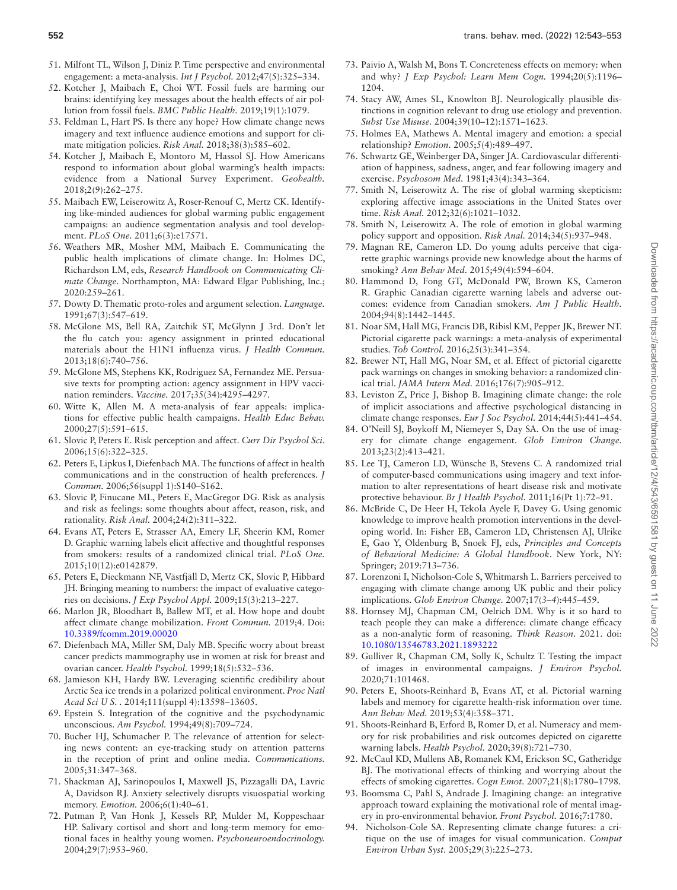- <span id="page-9-0"></span>51. Milfont TL, Wilson J, Diniz P. Time perspective and environmental engagement: a meta-analysis. *Int J Psychol.* 2012;47(5):325–334.
- <span id="page-9-1"></span>52. Kotcher J, Maibach E, Choi WT. Fossil fuels are harming our brains: identifying key messages about the health effects of air pollution from fossil fuels. *BMC Public Health.* 2019;19(1):1079.
- <span id="page-9-2"></span>53. Feldman L, Hart PS. Is there any hope? How climate change news imagery and text influence audience emotions and support for climate mitigation policies. *Risk Anal.* 2018;38(3):585–602.
- <span id="page-9-3"></span>54. Kotcher J, Maibach E, Montoro M, Hassol SJ. How Americans respond to information about global warming's health impacts: evidence from a National Survey Experiment. *Geohealth.* 2018;2(9):262–275.
- <span id="page-9-4"></span>55. Maibach EW, Leiserowitz A, Roser-Renouf C, Mertz CK. Identifying like-minded audiences for global warming public engagement campaigns: an audience segmentation analysis and tool development. *PLoS One.* 2011;6(3):e17571.
- <span id="page-9-5"></span>56. Weathers MR, Mosher MM, Maibach E. Communicating the public health implications of climate change. In: Holmes DC, Richardson LM, eds, *Research Handbook on Communicating Climate Change*. Northampton, MA: Edward Elgar Publishing, Inc.; 2020:259–261.
- <span id="page-9-6"></span>57. Dowty D. Thematic proto-roles and argument selection. *Language.* 1991;67(3):547–619.
- <span id="page-9-7"></span>58. McGlone MS, Bell RA, Zaitchik ST, McGlynn J 3rd. Don't let the flu catch you: agency assignment in printed educational materials about the H1N1 influenza virus. *J Health Commun.* 2013;18(6):740–756.
- <span id="page-9-8"></span>59. McGlone MS, Stephens KK, Rodriguez SA, Fernandez ME. Persuasive texts for prompting action: agency assignment in HPV vaccination reminders. *Vaccine.* 2017;35(34):4295–4297.
- <span id="page-9-9"></span>60. Witte K, Allen M. A meta-analysis of fear appeals: implications for effective public health campaigns. *Health Educ Behav.* 2000;27(5):591–615.
- <span id="page-9-10"></span>61. Slovic P, Peters E. Risk perception and affect. *Curr Dir Psychol Sci.* 2006;15(6):322–325.
- <span id="page-9-11"></span>62. Peters E, Lipkus I, Diefenbach MA. The functions of affect in health communications and in the construction of health preferences. *J Commun.* 2006;56(suppl 1):S140–S162.
- <span id="page-9-12"></span>63. Slovic P, Finucane ML, Peters E, MacGregor DG. Risk as analysis and risk as feelings: some thoughts about affect, reason, risk, and rationality. *Risk Anal.* 2004;24(2):311–322.
- <span id="page-9-13"></span>64. Evans AT, Peters E, Strasser AA, Emery LF, Sheerin KM, Romer D. Graphic warning labels elicit affective and thoughtful responses from smokers: results of a randomized clinical trial. *PLoS One.* 2015;10(12):e0142879.
- <span id="page-9-14"></span>65. Peters E, Dieckmann NF, Västfjäll D, Mertz CK, Slovic P, Hibbard JH. Bringing meaning to numbers: the impact of evaluative categories on decisions. *J Exp Psychol Appl.* 2009;15(3):213–227.
- <span id="page-9-15"></span>66. Marlon JR, Bloodhart B, Ballew MT, et al. How hope and doubt affect climate change mobilization. *Front Commun.* 2019;4. Doi: [10.3389/fcomm.2019.00020](https://doi.org/10.3389/fcomm.2019.00020)
- <span id="page-9-16"></span>67. Diefenbach MA, Miller SM, Daly MB. Specific worry about breast cancer predicts mammography use in women at risk for breast and ovarian cancer. *Health Psychol.* 1999;18(5):532–536.
- <span id="page-9-17"></span>68. Jamieson KH, Hardy BW. Leveraging scientific credibility about Arctic Sea ice trends in a polarized political environment. *Proc Natl Acad Sci U S. .* 2014;111(suppl 4):13598–13605.
- <span id="page-9-18"></span>69. Epstein S. Integration of the cognitive and the psychodynamic unconscious. *Am Psychol.* 1994;49(8):709–724.
- <span id="page-9-19"></span>70. Bucher HJ, Schumacher P. The relevance of attention for selecting news content: an eye-tracking study on attention patterns in the reception of print and online media. *Communications.* 2005;31:347–368.
- <span id="page-9-20"></span>71. Shackman AJ, Sarinopoulos I, Maxwell JS, Pizzagalli DA, Lavric A, Davidson RJ. Anxiety selectively disrupts visuospatial working memory. *Emotion.* 2006;6(1):40–61.
- <span id="page-9-21"></span>72. Putman P, Van Honk J, Kessels RP, Mulder M, Koppeschaar HP. Salivary cortisol and short and long-term memory for emotional faces in healthy young women. *Psychoneuroendocrinology.* 2004;29(7):953–960.
- <span id="page-9-22"></span>73. Paivio A, Walsh M, Bons T. Concreteness effects on memory: when and why? *J Exp Psychol: Learn Mem Cogn.* 1994;20(5):1196– 1204.
- <span id="page-9-23"></span>74. Stacy AW, Ames SL, Knowlton BJ. Neurologically plausible distinctions in cognition relevant to drug use etiology and prevention. *Subst Use Misuse.* 2004;39(10–12):1571–1623.
- <span id="page-9-24"></span>75. Holmes EA, Mathews A. Mental imagery and emotion: a special relationship? *Emotion.* 2005;5(4):489–497.
- <span id="page-9-25"></span>76. Schwartz GE, Weinberger DA, Singer JA. Cardiovascular differentiation of happiness, sadness, anger, and fear following imagery and exercise. *Psychosom Med.* 1981;43(4):343–364.
- <span id="page-9-26"></span>77. Smith N, Leiserowitz A. The rise of global warming skepticism: exploring affective image associations in the United States over time. *Risk Anal.* 2012;32(6):1021–1032.
- <span id="page-9-27"></span>78. Smith N, Leiserowitz A. The role of emotion in global warming policy support and opposition. *Risk Anal.* 2014;34(5):937–948.
- 79. Magnan RE, Cameron LD. Do young adults perceive that cigarette graphic warnings provide new knowledge about the harms of smoking? *Ann Behav Med.* 2015;49(4):594–604.
- 80. Hammond D, Fong GT, McDonald PW, Brown KS, Cameron R. Graphic Canadian cigarette warning labels and adverse outcomes: evidence from Canadian smokers. *Am J Public Health.* 2004;94(8):1442–1445.
- 81. Noar SM, Hall MG, Francis DB, Ribisl KM, Pepper JK, Brewer NT. Pictorial cigarette pack warnings: a meta-analysis of experimental studies. *Tob Control.* 2016;25(3):341–354.
- 82. Brewer NT, Hall MG, Noar SM, et al. Effect of pictorial cigarette pack warnings on changes in smoking behavior: a randomized clinical trial. *JAMA Intern Med.* 2016;176(7):905–912.
- <span id="page-9-28"></span>83. Leviston Z, Price J, Bishop B. Imagining climate change: the role of implicit associations and affective psychological distancing in climate change responses. *Eur J Soc Psychol.* 2014;44(5):441–454.
- <span id="page-9-29"></span>84. O'Neill SJ, Boykoff M, Niemeyer S, Day SA. On the use of imagery for climate change engagement. *Glob Environ Change.* 2013;23(2):413–421.
- <span id="page-9-30"></span>85. Lee TJ, Cameron LD, Wünsche B, Stevens C. A randomized trial of computer-based communications using imagery and text information to alter representations of heart disease risk and motivate protective behaviour. *Br J Health Psychol.* 2011;16(Pt 1):72–91.
- <span id="page-9-31"></span>86. McBride C, De Heer H, Tekola Ayele F, Davey G. Using genomic knowledge to improve health promotion interventions in the developing world. In: Fisher EB, Cameron LD, Christensen AJ, Ulrike E, Gao Y, Oldenburg B, Snoek FJ, eds, *Principles and Concepts of Behavioral Medicine: A Global Handbook*. New York, NY: Springer; 2019:713–736.
- <span id="page-9-32"></span>87. Lorenzoni I, Nicholson-Cole S, Whitmarsh L. Barriers perceived to engaging with climate change among UK public and their policy implications. *Glob Environ Change.* 2007;17(*3–4*):445–459.
- <span id="page-9-33"></span>88. Hornsey MJ, Chapman CM, Oelrich DM. Why is it so hard to teach people they can make a difference: climate change efficacy as a non-analytic form of reasoning. *Think Reason*. 2021. doi: [10.1080/13546783.2021.1893222](https://doi.org/10.1080/13546783.2021.1893222)
- <span id="page-9-34"></span>89. Gulliver R, Chapman CM, Solly K, Schultz T. Testing the impact of images in environmental campaigns. *J Environ Psychol.* 2020;71:101468.
- <span id="page-9-35"></span>90. Peters E, Shoots-Reinhard B, Evans AT, et al. Pictorial warning labels and memory for cigarette health-risk information over time. *Ann Behav Med.* 2019;53(4):358–371.
- <span id="page-9-36"></span>91. Shoots-Reinhard B, Erford B, Romer D, et al. Numeracy and memory for risk probabilities and risk outcomes depicted on cigarette warning labels. *Health Psychol.* 2020;39(8):721–730.
- <span id="page-9-37"></span>92. McCaul KD, Mullens AB, Romanek KM, Erickson SC, Gatheridge BJ. The motivational effects of thinking and worrying about the effects of smoking cigarettes. *Cogn Emot.* 2007;21(8):1780–1798.
- <span id="page-9-38"></span>93. Boomsma C, Pahl S, Andrade J. Imagining change: an integrative approach toward explaining the motivational role of mental imagery in pro-environmental behavior. *Front Psychol.* 2016;7:1780.
- <span id="page-9-39"></span>94. Nicholson-Cole SA. Representing climate change futures: a critique on the use of images for visual communication. *Comput Environ Urban Syst.* 2005;29(3):225–273.